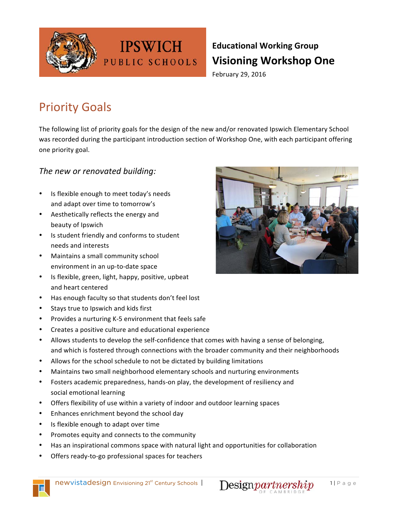

## **Educational Working Group Visioning Workshop One**

February 29, 2016

## **Priority Goals**

The following list of priority goals for the design of the new and/or renovated Ipswich Elementary School was recorded during the participant introduction section of Workshop One, with each participant offering one priority goal.

#### The new or renovated building:

- Is flexible enough to meet today's needs and adapt over time to tomorrow's
- Aesthetically reflects the energy and beauty of Ipswich
- Is student friendly and conforms to student needs and interests
- Maintains a small community school environment in an up-to-date space
- Is flexible, green, light, happy, positive, upbeat and heart centered
- Has enough faculty so that students don't feel lost
- Stays true to Ipswich and kids first
- Provides a nurturing K-5 environment that feels safe
- Creates a positive culture and educational experience
- Allows students to develop the self-confidence that comes with having a sense of belonging, and which is fostered through connections with the broader community and their neighborhoods
- Allows for the school schedule to not be dictated by building limitations

**IPSWICH** 

PUBLIC SCHOOLS

- Maintains two small neighborhood elementary schools and nurturing environments
- Fosters academic preparedness, hands-on play, the development of resiliency and social emotional learning
- Offers flexibility of use within a variety of indoor and outdoor learning spaces
- Enhances enrichment beyond the school day
- Is flexible enough to adapt over time
- Promotes equity and connects to the community
- Has an inspirational commons space with natural light and opportunities for collaboration
- Offers ready-to-go professional spaces for teachers





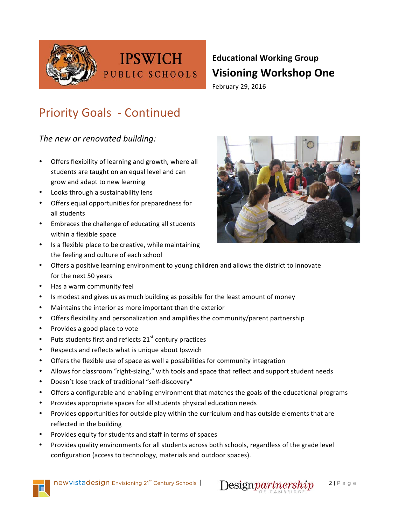

## **Educational Working Group Visioning Workshop One** February 29, 2016

# **Priority Goals - Continued**

**IPSWICH** 

PUBLIC SCHOOLS

The new or renovated building:

- Offers flexibility of learning and growth, where all students are taught on an equal level and can grow and adapt to new learning
- Looks through a sustainability lens
- Offers equal opportunities for preparedness for all students
- Embraces the challenge of educating all students within a flexible space
- Is a flexible place to be creative, while maintaining the feeling and culture of each school



- Offers a positive learning environment to young children and allows the district to innovate for the next 50 years
- Has a warm community feel
- Is modest and gives us as much building as possible for the least amount of money
- Maintains the interior as more important than the exterior
- Offers flexibility and personalization and amplifies the community/parent partnership
- Provides a good place to vote
- Puts students first and reflects  $21<sup>st</sup>$  century practices
- Respects and reflects what is unique about Ipswich
- Offers the flexible use of space as well a possibilities for community integration
- Allows for classroom "right-sizing," with tools and space that reflect and support student needs
- Doesn't lose track of traditional "self-discovery"
- Offers a configurable and enabling environment that matches the goals of the educational programs
- Provides appropriate spaces for all students physical education needs
- Provides opportunities for outside play within the curriculum and has outside elements that are reflected in the building
- Provides equity for students and staff in terms of spaces
- Provides quality environments for all students across both schools, regardless of the grade level configuration (access to technology, materials and outdoor spaces).



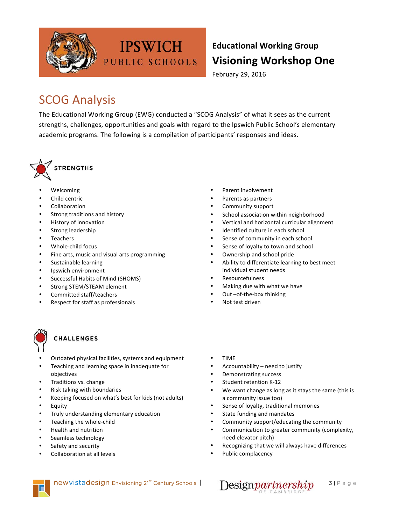

## **Educational Working Group Visioning Workshop One**

February 29, 2016

## **SCOG Analysis**

The Educational Working Group (EWG) conducted a "SCOG Analysis" of what it sees as the current strengths, challenges, opportunities and goals with regard to the Ipswich Public School's elementary academic programs. The following is a compilation of participants' responses and ideas.

**IPSWICH** 

PUBLIC SCHOOLS



- Welcoming
- Child centric
- **Collaboration**
- Strong traditions and history
- History of innovation
- Strong leadership
- Teachers
- Whole-child focus
- Fine arts, music and visual arts programming
- Sustainable learning
- Ipswich environment
- Successful Habits of Mind (SHOMS)
- Strong STEM/STEAM element
- Committed staff/teachers
- Respect for staff as professionals

### **CHALLENGES**

- Outdated physical facilities, systems and equipment
- Teaching and learning space in inadequate for objectives
- Traditions vs. change
- Risk taking with boundaries
- Keeping focused on what's best for kids (not adults)
- Equity
- Truly understanding elementary education
- Teaching the whole-child
- Health and nutrition
- Seamless technology
- Safety and security
- Collaboration at all levels
- Parent involvement
- Parents as partners
- Community support
- School association within neighborhood
- Vertical and horizontal curricular alignment
- Identified culture in each school
- Sense of community in each school
- Sense of loyalty to town and school
- Ownership and school pride
- Ability to differentiate learning to best meet individual student needs
- Resourcefulness
- Making due with what we have
- Out -of-the-box thinking
- Not test driven
- TIME
- Accountability  $-$  need to justify
- Demonstrating success
- Student retention K-12
- We want change as long as it stays the same (this is a community issue too)
- Sense of loyalty, traditional memories
- State funding and mandates
- Community support/educating the community
- Communication to greater community (complexity, need elevator pitch)
- Recognizing that we will always have differences
- Public complacency



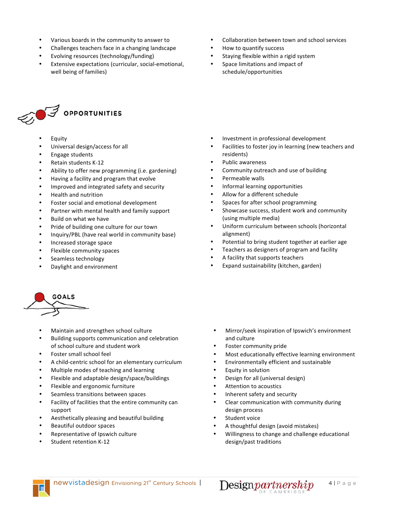- Various boards in the community to answer to
- Challenges teachers face in a changing landscape
- Evolving resources (technology/funding)
- Extensive expectations (curricular, social-emotional, well being of families)



- **Equity**
- Universal design/access for all
- Engage students
- Retain students K-12
- Ability to offer new programming (i.e. gardening)
- Having a facility and program that evolve
- Improved and integrated safety and security
- Health and nutrition
- Foster social and emotional development
- Partner with mental health and family support
- Build on what we have
- Pride of building one culture for our town
- Inquiry/PBL (have real world in community base)
- Increased storage space
- Flexible community spaces
- Seamless technology
- Daylight and environment



- Maintain and strengthen school culture
- Building supports communication and celebration of school culture and student work
- Foster small school feel
- A child-centric school for an elementary curriculum
- Multiple modes of teaching and learning
- Flexible and adaptable design/space/buildings
- Flexible and ergonomic furniture
- Seamless transitions between spaces
- Facility of facilities that the entire community can support
- Aesthetically pleasing and beautiful building
- Beautiful outdoor spaces
- Representative of Ipswich culture
- Student retention K-12
- Collaboration between town and school services
- How to quantify success
- Staying flexible within a rigid system
- Space limitations and impact of schedule/opportunities

- Investment in professional development
- Facilities to foster joy in learning (new teachers and residents)
- Public awareness
- Community outreach and use of building
- Permeable walls
- Informal learning opportunities
- Allow for a different schedule
- Spaces for after school programming
- Showcase success, student work and community (using multiple media)
- Uniform curriculum between schools (horizontal alignment)
- Potential to bring student together at earlier age
- Teachers as designers of program and facility
- A facility that supports teachers
- Expand sustainability (kitchen, garden)

- Mirror/seek inspiration of Ipswich's environment and culture
- Foster community pride
- Most educationally effective learning environment
- Environmentally efficient and sustainable
- Equity in solution
- Design for all (universal design)
- Attention to acoustics
- Inherent safety and security
- Clear communication with community during design process
- Student voice
- A thoughtful design (avoid mistakes)
- Willingness to change and challenge educational design/past traditions

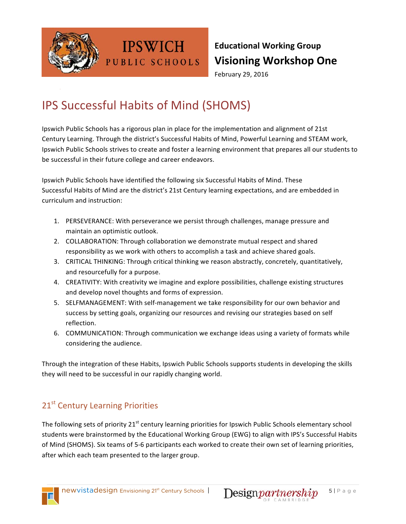

## **Educational Working Group Visioning Workshop One**

February 29, 2016

## IPS Successful Habits of Mind (SHOMS)

**IPSWICH** 

PUBLIC SCHOOLS

Ipswich Public Schools has a rigorous plan in place for the implementation and alignment of 21st Century Learning. Through the district's Successful Habits of Mind, Powerful Learning and STEAM work, Ipswich Public Schools strives to create and foster a learning environment that prepares all our students to be successful in their future college and career endeavors.

Ipswich Public Schools have identified the following six Successful Habits of Mind. These Successful Habits of Mind are the district's 21st Century learning expectations, and are embedded in curriculum and instruction:

- 1. PERSEVERANCE: With perseverance we persist through challenges, manage pressure and maintain an optimistic outlook.
- 2. COLLABORATION: Through collaboration we demonstrate mutual respect and shared responsibility as we work with others to accomplish a task and achieve shared goals.
- 3. CRITICAL THINKING: Through critical thinking we reason abstractly, concretely, quantitatively, and resourcefully for a purpose.
- 4. CREATIVITY: With creativity we imagine and explore possibilities, challenge existing structures and develop novel thoughts and forms of expression.
- 5. SELFMANAGEMENT: With self-management we take responsibility for our own behavior and success by setting goals, organizing our resources and revising our strategies based on self reflection.
- 6. COMMUNICATION: Through communication we exchange ideas using a variety of formats while considering the audience.

Through the integration of these Habits, Ipswich Public Schools supports students in developing the skills they will need to be successful in our rapidly changing world.

## 21<sup>st</sup> Century Learning Priorities

The following sets of priority 21<sup>st</sup> century learning priorities for Ipswich Public Schools elementary school students were brainstormed by the Educational Working Group (EWG) to align with IPS's Successful Habits of Mind (SHOMS). Six teams of 5-6 participants each worked to create their own set of learning priorities, after which each team presented to the larger group.

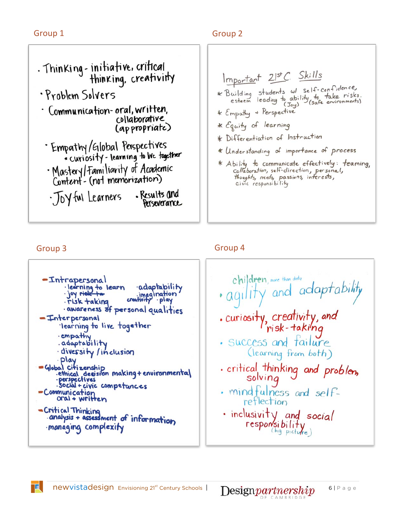### Group 1 Group 2



Important 21st C. Skills \* Building students w/ self-confidence,<br>esteem leading to ability to take risks.<br>t f = H + Perspective \* Empathy + Perspective \* Equity of learning \* Differentiation of Instruction \* Understanding of importance of process \* Ability to communicate effectively: teaming,<br>collaboration, self-direction, personal,<br>thoughts, reeds, passions, interests,<br>civic responsibility

一直...

### Group 3 Group 3 Group 4

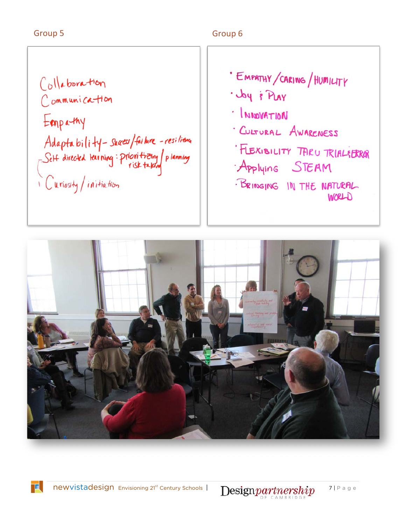#### Group 5 Group 6

Collaboration Communication Emparthy Adaptability-suress/failure - resilience<br>Sett directed tearning: prioritizing/planning<br>Curiosity/initiation

· EMPATHY/CARING/HUMILITY · Joy & PLAY INNOVATION CULTURAL AWARENESS FLEXIBILITY TARU TRIALEBRAR Applying STEAM · BRINGING IN THE NATURAL WORLD



T.

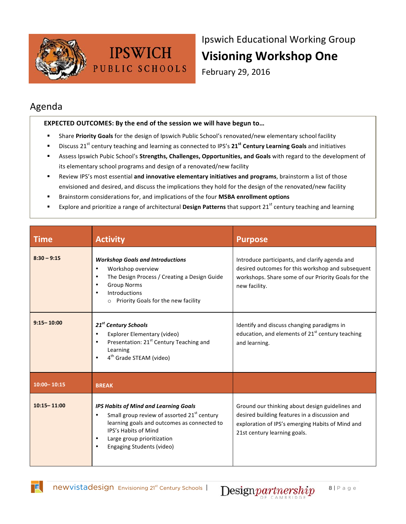

Ipswich Educational Working Group **Visioning Workshop One** 

February 29, 2016

### Agenda

#### **EXPECTED OUTCOMES: By the end of the session we will have begun to...**

- Share **Priority Goals** for the design of Ipswich Public School's renovated/new elementary school facility
- Discuss 21<sup>st</sup> century teaching and learning as connected to IPS's 21<sup>st</sup> Century Learning Goals and initiatives
- Assess Ipswich Pubic School's Strengths, Challenges, Opportunities, and Goals with regard to the development of its elementary school programs and design of a renovated/new facility
- Review IPS's most essential *and innovative elementary initiatives and programs*, brainstorm a list of those envisioned and desired, and discuss the implications they hold for the design of the renovated/new facility
- Brainstorm considerations for, and implications of the four **MSBA enrollment options**
- Explore and prioritize a range of architectural Design Patterns that support 21<sup>st</sup> century teaching and learning

| <b>Time</b>     | <b>Activity</b>                                                                                                                                                                                                                                                                  | <b>Purpose</b>                                                                                                                                                                       |
|-----------------|----------------------------------------------------------------------------------------------------------------------------------------------------------------------------------------------------------------------------------------------------------------------------------|--------------------------------------------------------------------------------------------------------------------------------------------------------------------------------------|
| $8:30 - 9:15$   | <b>Workshop Goals and Introductions</b><br>Workshop overview<br>$\bullet$<br>The Design Process / Creating a Design Guide<br>$\bullet$<br><b>Group Norms</b><br>Introductions<br>Priority Goals for the new facility                                                             | Introduce participants, and clarify agenda and<br>desired outcomes for this workshop and subsequent<br>workshops. Share some of our Priority Goals for the<br>new facility.          |
| $9:15 - 10:00$  | 21 <sup>st</sup> Century Schools<br>Explorer Elementary (video)<br>$\bullet$<br>Presentation: 21 <sup>st</sup> Century Teaching and<br>$\bullet$<br>Learning<br>4 <sup>th</sup> Grade STEAM (video)<br>$\bullet$                                                                 | Identify and discuss changing paradigms in<br>education, and elements of 21 <sup>st</sup> century teaching<br>and learning.                                                          |
| 10:00 - 10:15   | <b>BREAK</b>                                                                                                                                                                                                                                                                     |                                                                                                                                                                                      |
| $10:15 - 11:00$ | <b>IPS Habits of Mind and Learning Goals</b><br>Small group review of assorted 21 <sup>st</sup> century<br>$\bullet$<br>learning goals and outcomes as connected to<br>IPS's Habits of Mind<br>Large group prioritization<br>$\bullet$<br>Engaging Students (video)<br>$\bullet$ | Ground our thinking about design guidelines and<br>desired building features in a discussion and<br>exploration of IPS's emerging Habits of Mind and<br>21st century learning goals. |